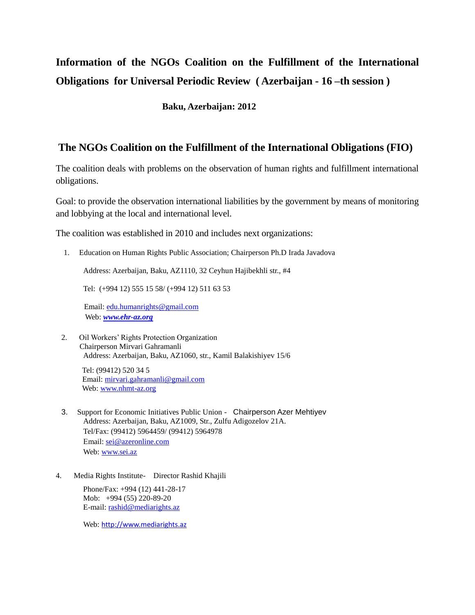# **Information of the NGOs Coalition on the Fulfillment of the International Obligations for Universal Periodic Review ( Azerbaijan - 16 –th session )**

 **Baku, Azerbaijan: 2012** 

#### **The NGOs Coalition on the Fulfillment of the International Obligations (FIO)**

The coalition deals with problems on the observation of human rights and fulfillment international obligations.

Goal: to provide the observation international liabilities by the government by means of monitoring and lobbying at the local and international level.

The coalition was established in 2010 and includes next organizations:

1. Education on Human Rights Public Association; Chairperson Ph.D Irada Javadova

Address: Azerbaijan, Baku, AZ1110, 32 Ceyhun Hajibekhli str., #4

Tel: (+994 12) 555 15 58/ (+994 12) 511 63 53

 Email: [edu.humanrights@gmail.com](mailto:edu.humanrights@gmail.com) Web: *[www.ehr-az.org](http://www.ehr-az.org/)*

2. Oil Workers" Rights Protection Organization Chairperson Mirvari Gahramanli Address: Azerbaijan, Baku, AZ1060, str., Kamil Balakishiyev 15/6

 Tel: (99412) 520 34 5 Email:<mirvari.gahramanli@gmail.com> Web:<www.nhmt-az.org>

- 3. Support for Economic Initiatives Public Union Chairperson Azer Mehtiyev Address: Azerbaijan, Baku, AZ1009, Str., Zulfu Adigozelov 21A. Tel/Fax: (99412) 5964459/ (99412) 5964978 Еmail: [sei@azeronline.com](mailto:sei@azeronline.com) Web[: www.sei.az](http://www.sei.az/)
- 4. Media Rights Institute- Director Rashid Khajili

Phone/Fax: +994 (12) 441-28-17 Mob: +994 (55) 220-89-20 E-mail[: rashid@mediarights.az](mailto:rashid@mediarights.az)

Web: [http://www.mediarights.az](http://www.mediarights.az/)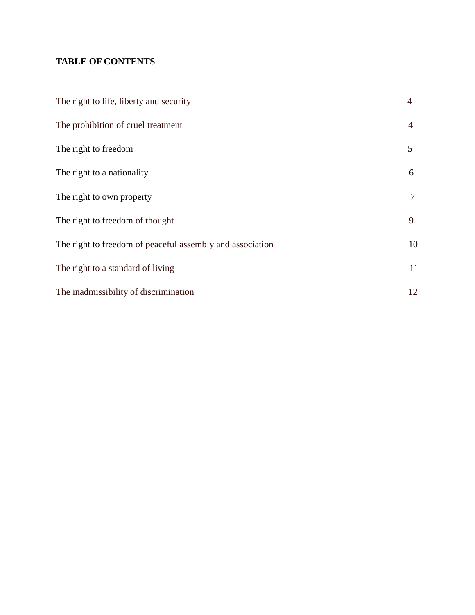#### **TABLE OF CONTENTS**

| The right to life, liberty and security                   | $\overline{4}$ |
|-----------------------------------------------------------|----------------|
| The prohibition of cruel treatment                        | 4              |
| The right to freedom                                      | 5              |
| The right to a nationality                                | 6              |
| The right to own property                                 | 7              |
| The right to freedom of thought                           | 9              |
| The right to freedom of peaceful assembly and association | 10             |
| The right to a standard of living                         | 11             |
| The inadmissibility of discrimination                     | 12             |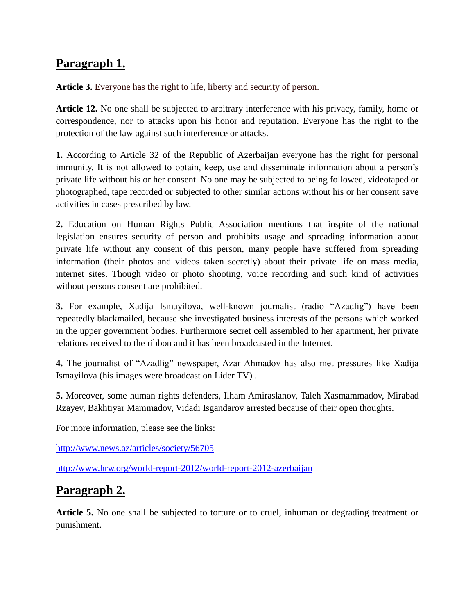## **Paragraph 1.**

**Article 3.** Everyone has the right to life, liberty and security of person.

**Article 12.** No one shall be subjected to arbitrary interference with his privacy, family, home or correspondence, nor to attacks upon his honor and reputation. Everyone has the right to the protection of the law against such interference or attacks.

**1.** According to Article 32 of the Republic of Azerbaijan everyone has the right for personal immunity. It is not allowed to obtain, keep, use and disseminate information about a person's private life without his or her consent. No one may be subjected to being followed, videotaped or photographed, tape recorded or subjected to other similar actions without his or her consent save activities in cases prescribed by law.

**2.** Education on Human Rights Public Association mentions that inspite of the national legislation ensures security of person and prohibits usage and spreading information about private life without any consent of this person, many people have suffered from spreading information (their photos and videos taken secretly) about their private life on mass media, internet sites. Though video or photo shooting, voice recording and such kind of activities without persons consent are prohibited.

**3.** For example, Xadija Ismayilova, well-known journalist (radio "Azadlig") have been repeatedly blackmailed, because she investigated business interests of the persons which worked in the upper government bodies. Furthermore secret cell assembled to her apartment, her private relations received to the ribbon and it has been broadcasted in the Internet.

**4.** The journalist of "Azadlig" newspaper, Azar Ahmadov has also met pressures like Xadija Ismayilova (his images were broadcast on Lider TV) .

**5.** Moreover, some human rights defenders, Ilham Amiraslanov, Taleh Xasmammadov, Mirabad Rzayev, Bakhtiyar Mammadov, Vidadi Isgandarov arrested because of their open thoughts.

For more information, please see the links:

<http://www.news.az/articles/society/56705>

<http://www.hrw.org/world-report-2012/world-report-2012-azerbaijan>

### **Paragraph 2.**

**Article 5.** No one shall be subjected to torture or to cruel, inhuman or degrading treatment or punishment.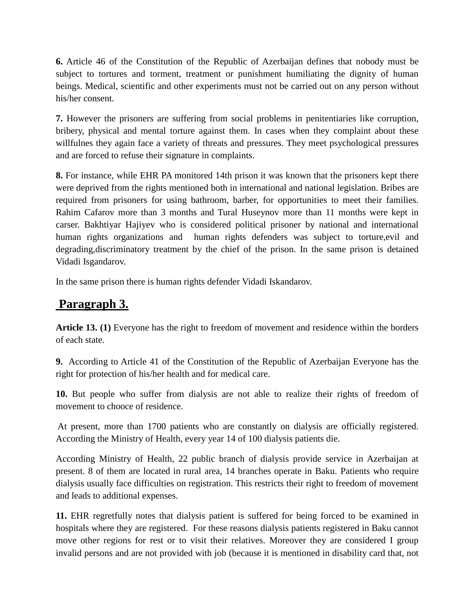**6.** Article 46 of the Constitution of the Republic of Azerbaijan defines that nobody must be subject to tortures and torment, treatment or punishment humiliating the dignity of human beings. Medical, scientific and other experiments must not be carried out on any person without his/her consent.

**7.** However the prisoners are suffering from social problems in penitentiaries like corruption, bribery, physical and mental torture against them. In cases when they complaint about these willfulnes they again face a variety of threats and pressures. They meet psychological pressures and are forced to refuse their signature in complaints.

**8.** For instance, while EHR PA monitored 14th prison it was known that the prisoners kept there were deprived from the rights mentioned both in international and national legislation. Bribes are required from prisoners for using bathroom, barber, for opportunities to meet their families. Rahim Cafarov more than 3 months and Tural Huseynov more than 11 months were kept in carser. Bakhtiyar Hajiyev who is considered political prisoner by national and international human rights organizations and human rights defenders was subject to torture,evil and degrading,discriminatory treatment by the chief of the prison. In the same prison is detained Vidadi Isgandarov.

In the same prison there is human rights defender Vidadi Iskandarov.

## **Paragraph 3.**

**Article 13. (1)** Everyone has the right to freedom of movement and residence within the borders of each state.

**9.** According to Article 41 of the Constitution of the Republic of Azerbaijan Everyone has the right for protection of his/her health and for medical care.

**10.** But people who suffer from dialysis are not able to realize their rights of freedom of movement to chooce of residence.

At present, more than 1700 patients who are constantly on dialysis are officially registered. According the Ministry of Health, every year 14 of 100 dialysis patients die.

According Ministry of Health, 22 public branch of dialysis provide service in Azerbaijan at present. 8 of them are located in rural area, 14 branches operate in Baku. Patients who require dialysis usually face difficulties on registration. This restricts their right to freedom of movement and leads to additional expenses.

**11.** EHR regretfully notes that dialysis patient is suffered for being forced to be examined in hospitals where they are registered. For these reasons dialysis patients registered in Baku cannot move other regions for rest or to visit their relatives. Moreover they are considered I group invalid persons and are not provided with job (because it is mentioned in disability card that, not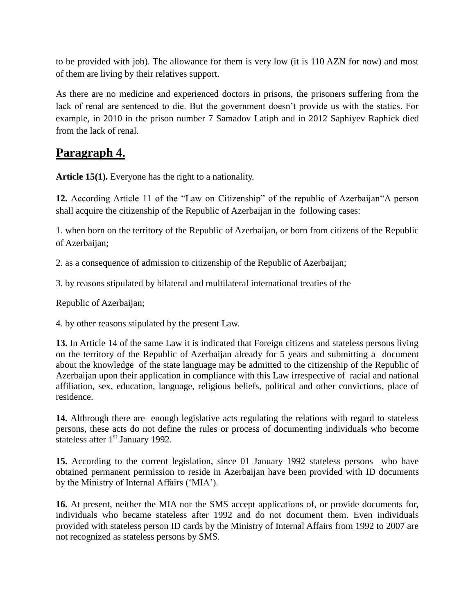to be provided with job). The allowance for them is very low (it is 110 AZN for now) and most of them are living by their relatives support.

As there are no medicine and experienced doctors in prisons, the prisoners suffering from the lack of renal are sentenced to die. But the government doesn"t provide us with the statics. For example, in 2010 in the prison number 7 Samadov Latiph and in 2012 Saphiyev Raphick died from the lack of renal.

#### **Paragraph 4.**

**Article 15(1).** Everyone has the right to a nationality.

**12.** According Article 11 of the "Law on Citizenship" of the republic of Azerbaijan"A person shall acquire the citizenship of the Republic of Azerbaijan in the following cases:

1. when born on the territory of the Republic of Azerbaijan, or born from citizens of the Republic of Azerbaijan;

2. as a consequence of admission to citizenship of the Republic of Azerbaijan;

3. by reasons stipulated by bilateral and multilateral international treaties of the

Republic of Azerbaijan;

4. by other reasons stipulated by the present Law.

**13.** In Article 14 of the same Law it is indicated that Foreign citizens and stateless persons living on the territory of the Republic of Azerbaijan already for 5 years and submitting a document about the knowledge of the state language may be admitted to the citizenship of the Republic of Azerbaijan upon their application in compliance with this Law irrespective of racial and national affiliation, sex, education, language, religious beliefs, political and other convictions, place of residence.

**14.** Althrough there are enough legislative acts regulating the relations with regard to stateless persons, these acts do not define the rules or process of documenting individuals who become stateless after  $1<sup>st</sup>$  January 1992.

**15.** According to the current legislation, since 01 January 1992 stateless persons who have obtained permanent permission to reside in Azerbaijan have been provided with ID documents by the Ministry of Internal Affairs ("MIA").

**16.** At present, neither the MIA nor the SMS accept applications of, or provide documents for, individuals who became stateless after 1992 and do not document them. Even individuals provided with stateless person ID cards by the Ministry of Internal Affairs from 1992 to 2007 are not recognized as stateless persons by SMS.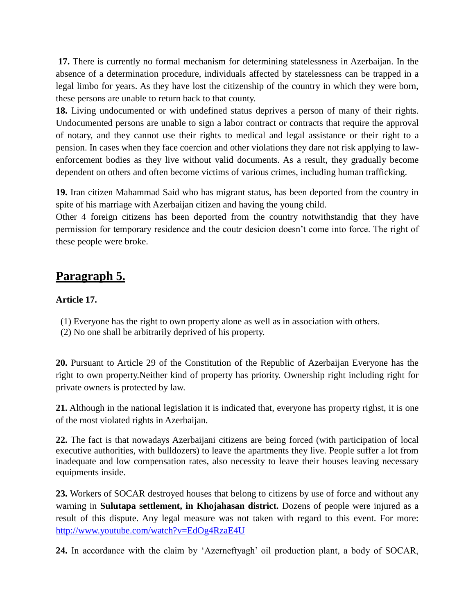**17.** There is currently no formal mechanism for determining statelessness in Azerbaijan. In the absence of a determination procedure, individuals affected by statelessness can be trapped in a legal limbo for years. As they have lost the citizenship of the country in which they were born, these persons are unable to return back to that county.

**18.** Living undocumented or with undefined status deprives a person of many of their rights. Undocumented persons are unable to sign a labor contract or contracts that require the approval of notary, and they cannot use their rights to medical and legal assistance or their right to a pension. In cases when they face coercion and other violations they dare not risk applying to lawenforcement bodies as they live without valid documents. As a result, they gradually become dependent on others and often become victims of various crimes, including human trafficking.

**19.** Iran citizen Mahammad Said who has migrant status, has been deported from the country in spite of his marriage with Azerbaijan citizen and having the young child.

Other 4 foreign citizens has been deported from the country notwithstandig that they have permission for temporary residence and the coutr desicion doesn"t come into force. The right of these people were broke.

#### **Paragraph 5.**

#### **Article 17.**

- (1) Everyone has the right to own property alone as well as in association with others.
- (2) No one shall be arbitrarily deprived of his property.

**20.** Pursuant to Article 29 of the Constitution of the Republic of Azerbaijan Everyone has the right to own property.Neither kind of property has priority. Ownership right including right for private owners is protected by law.

**21.** Although in the national legislation it is indicated that, everyone has property righst, it is one of the most violated rights in Azerbaijan.

**22.** The fact is that nowadays Azerbaijani citizens are being forced (with participation of local executive authorities, with bulldozers) to leave the apartments they live. People suffer a lot from inadequate and low compensation rates, also necessity to leave their houses leaving necessary equipments inside.

**23.** Workers of SOCAR destroyed houses that belong to citizens by use of force and without any warning in **Sulutapa settlement, in Khojahasan district.** Dozens of people were injured as a result of this dispute. Any legal measure was not taken with regard to this event. For more: <http://www.youtube.com/watch?v=EdOg4RzaE4U>

**24.** In accordance with the claim by "Azerneftyagh" oil production plant, a body of SOCAR,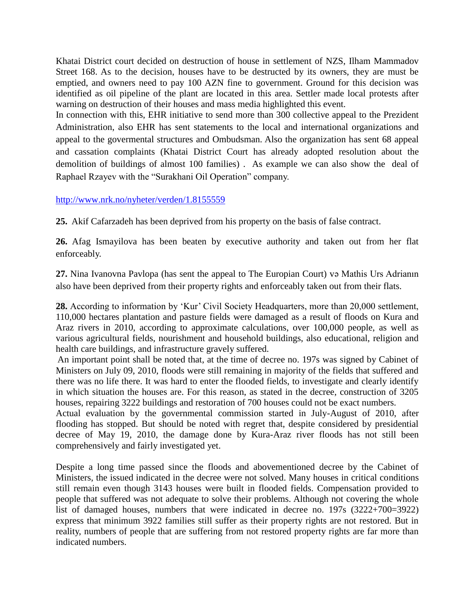Khatai District court decided on destruction of house in settlement of NZS, Ilham Mammadov Street 168. As to the decision, houses have to be destructed by its owners, they are must be emptied, and owners need to pay 100 AZN fine to government. Ground for this decision was identified as oil pipeline of the plant are located in this area. Settler made local protests after warning on destruction of their houses and mass media highlighted this event.

In connection with this, EHR initiative to send more than 300 collective appeal to the Prezident Administration, also EHR has sent statements to the local and international organizations and appeal to the govermental structures and Ombudsman. Also the organization has sent 68 appeal and cassation complaints (Khatai District Court has already adopted resolution about the demolition of buildings of almost 100 families) . As example we can also show the deal of Raphael Rzayev with the "Surakhani Oil Operation" company.

#### <http://www.nrk.no/nyheter/verden/1.8155559>

**25.** Akif Cafarzadeh has been deprived from his property on the basis of false contract.

**26.** Afag Ismayilova has been beaten by executive authority and taken out from her flat enforceably.

**27.** Nina Ivanovna Pavlopa (has sent the appeal to The Europian Court) və Mathis Urs Adrianın also have been deprived from their property rights and enforceably taken out from their flats.

28. According to information by 'Kur' Civil Society Headquarters, more than 20,000 settlement, 110,000 hectares plantation and pasture fields were damaged as a result of floods on Kura and Araz rivers in 2010, according to approximate calculations, over 100,000 people, as well as various agricultural fields, nourishment and household buildings, also educational, religion and health care buildings, and infrastructure gravely suffered.

An important point shall be noted that, at the time of decree no. 197s was signed by Cabinet of Ministers on July 09, 2010, floods were still remaining in majority of the fields that suffered and there was no life there. It was hard to enter the flooded fields, to investigate and clearly identify in which situation the houses are. For this reason, as stated in the decree, construction of 3205 houses, repairing 3222 buildings and restoration of 700 houses could not be exact numbers.

Actual evaluation by the governmental commission started in July-August of 2010, after flooding has stopped. But should be noted with regret that, despite considered by presidential decree of May 19, 2010, the damage done by Kura-Araz river floods has not still been comprehensively and fairly investigated yet.

Despite a long time passed since the floods and abovementioned decree by the Cabinet of Ministers, the issued indicated in the decree were not solved. Many houses in critical conditions still remain even though 3143 houses were built in flooded fields. Compensation provided to people that suffered was not adequate to solve their problems. Although not covering the whole list of damaged houses, numbers that were indicated in decree no. 197s (3222+700=3922) express that minimum 3922 families still suffer as their property rights are not restored. But in reality, numbers of people that are suffering from not restored property rights are far more than indicated numbers.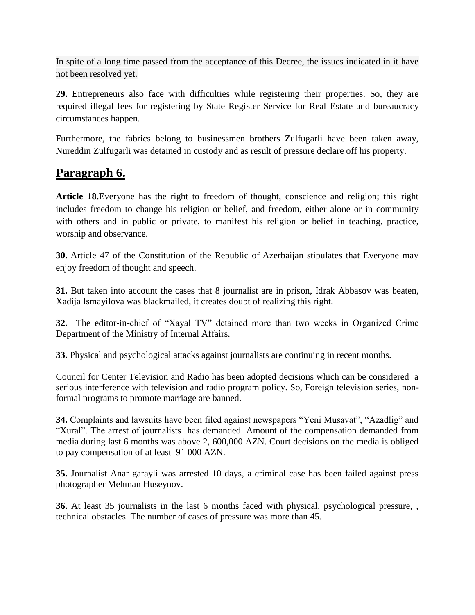In spite of a long time passed from the acceptance of this Decree, the issues indicated in it have not been resolved yet.

**29.** Entrepreneurs also face with difficulties while registering their properties. So, they are required illegal fees for registering by State Register Service for Real Estate and bureaucracy circumstances happen.

Furthermore, the fabrics belong to businessmen brothers Zulfugarli have been taken away, Nureddin Zulfugarli was detained in custody and as result of pressure declare off his property.

### **Paragraph 6.**

**Article 18.**Everyone has the right to freedom of thought, conscience and religion; this right includes freedom to change his religion or belief, and freedom, either alone or in community with others and in public or private, to manifest his religion or belief in teaching, practice, worship and observance.

**30.** Article 47 of the Constitution of the Republic of Azerbaijan stipulates that Everyone may enjoy freedom of thought and speech.

**31.** But taken into account the cases that 8 journalist are in prison, Idrak Abbasov was beaten, Xadija Ismayilova was blackmailed, it creates doubt of realizing this right.

**32.** The editor-in-chief of "Xayal TV" detained more than two weeks in Organized Crime Department of the Ministry of Internal Affairs.

**33.** Physical and psychological attacks against journalists are continuing in recent months.

Council for Center Television and Radio has been adopted decisions which can be considered a serious interference with television and radio program policy. So, Foreign television series, nonformal programs to promote marriage are banned.

**34.** Complaints and lawsuits have been filed against newspapers "Yeni Musavat", "Azadlig" and "Xural". The arrest of journalists has demanded. Amount of the compensation demanded from media during last 6 months was above 2, 600,000 AZN. Court decisions on the media is obliged to pay compensation of at least 91 000 AZN.

**35.** Journalist Anar garayli was arrested 10 days, a criminal case has been failed against press photographer Mehman Huseynov.

**36.** At least 35 journalists in the last 6 months faced with physical, psychological pressure, , technical obstacles. The number of cases of pressure was more than 45.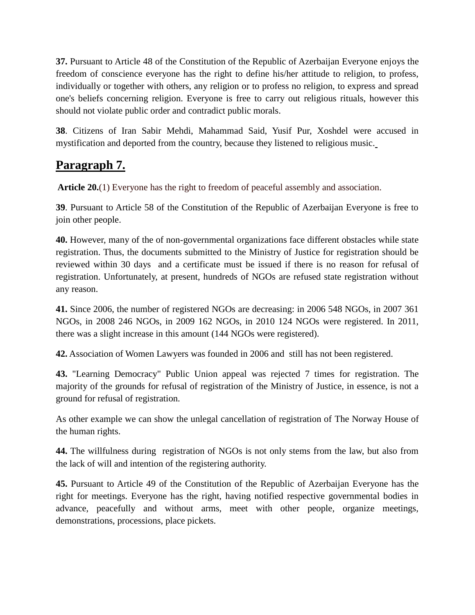**37.** Pursuant to Article 48 of the Constitution of the Republic of Azerbaijan Everyone enjoys the freedom of conscience everyone has the right to define his/her attitude to religion, to profess, individually or together with others, any religion or to profess no religion, to express and spread one's beliefs concerning religion. Everyone is free to carry out religious rituals, however this should not violate public order and contradict public morals.

**38**. Citizens of Iran Sabir Mehdi, Mahammad Said, Yusif Pur, Xoshdel were accused in mystification and deported from the country, because they listened to religious music.

## **Paragraph 7.**

**Article 20.**(1) Everyone has the right to freedom of peaceful assembly and association.

**39**. Pursuant to Article 58 of the Constitution of the Republic of Azerbaijan Everyone is free to join other people.

**40.** However, many of the of non-governmental organizations face different obstacles while state registration. Thus, the documents submitted to the Ministry of Justice for registration should be reviewed within 30 days and a certificate must be issued if there is no reason for refusal of registration. Unfortunately, at present, hundreds of NGOs are refused state registration without any reason.

**41.** Since 2006, the number of registered NGOs are decreasing: in 2006 548 NGOs, in 2007 361 NGOs, in 2008 246 NGOs, in 2009 162 NGOs, in 2010 124 NGOs were registered. In 2011, there was a slight increase in this amount (144 NGOs were registered).

**42.** Association of Women Lawyers was founded in 2006 and still has not been registered.

**43.** "Learning Democracy" Public Union appeal was rejected 7 times for registration. The majority of the grounds for refusal of registration of the Ministry of Justice, in essence, is not a ground for refusal of registration.

As other example we can show the unlegal cancellation of registration of The Norway House of the human rights.

**44.** The willfulness during registration of NGOs is not only stems from the law, but also from the lack of will and intention of the registering authority.

**45.** Pursuant to Article 49 of the Constitution of the Republic of Azerbaijan Everyone has the right for meetings. Everyone has the right, having notified respective governmental bodies in advance, peacefully and without arms, meet with other people, organize meetings, demonstrations, processions, place pickets.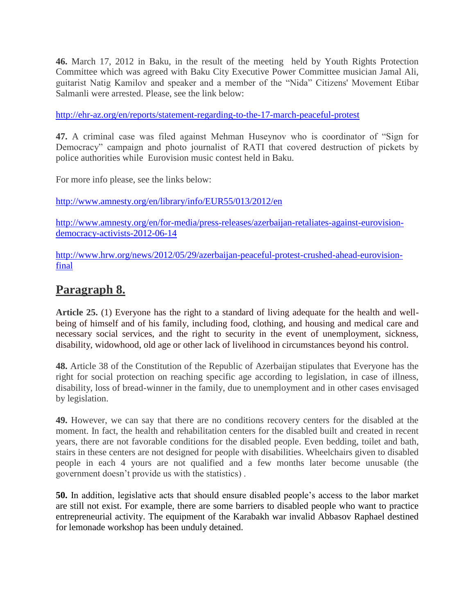**46.** March 17, 2012 in Baku, in the result of the meeting held by Youth Rights Protection Committee which was agreed with Baku City Executive Power Committee musician Jamal Ali, guitarist Natig Kamilov and speaker and a member of the "Nida" Citizens' Movement Etibar Salmanli were arrested. Please, see the link below:

<http://ehr-az.org/en/reports/statement-regarding-to-the-17-march-peaceful-protest>

**47.** A criminal case was filed against Mehman Huseynov who is coordinator of "Sign for Democracy" campaign and photo journalist of RATI that covered destruction of pickets by police authorities while Eurovision music contest held in Baku.

For more info please, see the links below:

<http://www.amnesty.org/en/library/info/EUR55/013/2012/en>

[http://www.amnesty.org/en/for-media/press-releases/azerbaijan-retaliates-against-eurovision](http://www.amnesty.org/en/for-media/press-releases/azerbaijan-retaliates-against-eurovision-democracy-activists-2012-06-14)[democracy-activists-2012-06-14](http://www.amnesty.org/en/for-media/press-releases/azerbaijan-retaliates-against-eurovision-democracy-activists-2012-06-14)

[http://www.hrw.org/news/2012/05/29/azerbaijan-peaceful-protest-crushed-ahead-eurovision](http://www.hrw.org/news/2012/05/29/azerbaijan-peaceful-protest-crushed-ahead-eurovision-final)[final](http://www.hrw.org/news/2012/05/29/azerbaijan-peaceful-protest-crushed-ahead-eurovision-final)

### **Paragraph 8.**

**Article 25.** (1) Everyone has the right to a standard of living adequate for the health and wellbeing of himself and of his family, including food, clothing, and housing and medical care and necessary social services, and the right to security in the event of unemployment, sickness, disability, widowhood, old age or other lack of livelihood in circumstances beyond his control.

**48.** Article 38 of the Constitution of the Republic of Azerbaijan stipulates that Everyone has the right for social protection on reaching specific age according to legislation, in case of illness, disability, loss of bread-winner in the family, due to unemployment and in other cases envisaged by legislation.

**49.** However, we can say that there are no conditions recovery centers for the disabled at the moment. In fact, the health and rehabilitation centers for the disabled built and created in recent years, there are not favorable conditions for the disabled people. Even bedding, toilet and bath, stairs in these centers are not designed for people with disabilities. Wheelchairs given to disabled people in each 4 yours are not qualified and a few months later become unusable (the government doesn"t provide us with the statistics) .

**50.** In addition, legislative acts that should ensure disabled people"s access to the labor market are still not exist. For example, there are some barriers to disabled people who want to practice entrepreneurial activity. The equipment of the Karabakh war invalid Abbasov Raphael destined for lemonade workshop has been unduly detained.